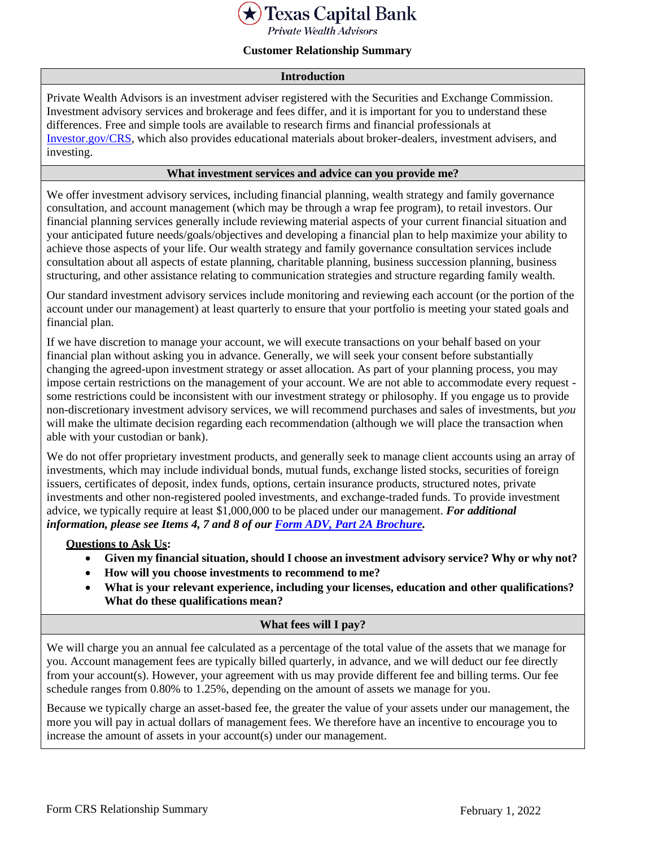

**Private Wealth Advisors** 

### **Customer Relationship Summary**

#### **Introduction**

Private Wealth Advisors is an investment adviser registered with the Securities and Exchange Commission. Investment advisory services and brokerage and fees differ, and it is important for you to understand these differences. Free and simple tools are available to research firms and financial professionals at [Investor.gov/CRS,](https://www.investor.gov/CRS) which also provides educational materials about broker-dealers, investment advisers, and investing.

### **What investment services and advice can you provide me?**

We offer investment advisory services, including financial planning, wealth strategy and family governance consultation, and account management (which may be through a wrap fee program), to retail investors. Our financial planning services generally include reviewing material aspects of your current financial situation and your anticipated future needs/goals/objectives and developing a financial plan to help maximize your ability to achieve those aspects of your life. Our wealth strategy and family governance consultation services include consultation about all aspects of estate planning, charitable planning, business succession planning, business structuring, and other assistance relating to communication strategies and structure regarding family wealth.

Our standard investment advisory services include monitoring and reviewing each account (or the portion of the account under our management) at least quarterly to ensure that your portfolio is meeting your stated goals and financial plan.

If we have discretion to manage your account, we will execute transactions on your behalf based on your financial plan without asking you in advance. Generally, we will seek your consent before substantially changing the agreed-upon investment strategy or asset allocation. As part of your planning process, you may impose certain restrictions on the management of your account. We are not able to accommodate every request some restrictions could be inconsistent with our investment strategy or philosophy. If you engage us to provide non-discretionary investment advisory services, we will recommend purchases and sales of investments, but *you*  will make the ultimate decision regarding each recommendation (although we will place the transaction when able with your custodian or bank).

We do not offer proprietary investment products, and generally seek to manage client accounts using an array of investments, which may include individual bonds, mutual funds, exchange listed stocks, securities of foreign issuers, certificates of deposit, index funds, options, certain insurance products, structured notes, private investments and other non-registered pooled investments, and exchange-traded funds. To provide investment advice, we typically require at least \$1,000,000 to be placed under our management. *For additional information, please see Items 4, 7 and 8 of our [Form ADV, Part 2A Brochure.](https://adviserinfo.sec.gov/firm/brochure/298422)*

#### **Questions to Ask Us:**

- **Given my financial situation, should I choose an investment advisory service? Why or why not?**
- **How will you choose investments to recommend to me?**
- **What is your relevant experience, including your licenses, education and other qualifications? What do these qualifications mean?**

#### **What fees will I pay?**

We will charge you an annual fee calculated as a percentage of the total value of the assets that we manage for you. Account management fees are typically billed quarterly, in advance, and we will deduct our fee directly from your account(s). However, your agreement with us may provide different fee and billing terms. Our fee schedule ranges from 0.80% to 1.25%, depending on the amount of assets we manage for you.

Because we typically charge an asset-based fee, the greater the value of your assets under our management, the more you will pay in actual dollars of management fees. We therefore have an incentive to encourage you to increase the amount of assets in your account(s) under our management.